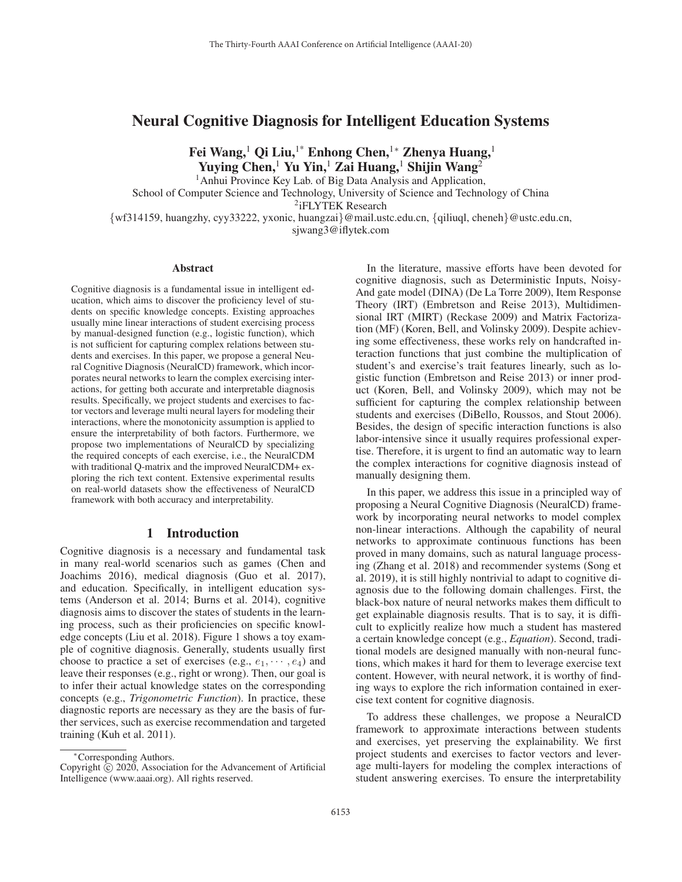# Neural Cognitive Diagnosis for Intelligent Education Systems

Fei Wang,<sup>1</sup> Qi Liu,<sup>1</sup><sup>∗</sup> Enhong Chen,<sup>1</sup><sup>∗</sup> Zhenya Huang,<sup>1</sup> Yuying Chen,<sup>1</sup> Yu Yin,<sup>1</sup> Zai Huang,<sup>1</sup> Shijin Wang<sup>2</sup>

<sup>1</sup>Anhui Province Key Lab. of Big Data Analysis and Application, School of Computer Science and Technology, University of Science and Technology of China <sup>2</sup>iFLYTEK Research {wf314159, huangzhy, cyy33222, yxonic, huangzai}@mail.ustc.edu.cn, {qiliuql, cheneh}@ustc.edu.cn, sjwang3@iflytek.com

#### Abstract

Cognitive diagnosis is a fundamental issue in intelligent education, which aims to discover the proficiency level of students on specific knowledge concepts. Existing approaches usually mine linear interactions of student exercising process by manual-designed function (e.g., logistic function), which is not sufficient for capturing complex relations between students and exercises. In this paper, we propose a general Neural Cognitive Diagnosis (NeuralCD) framework, which incorporates neural networks to learn the complex exercising interactions, for getting both accurate and interpretable diagnosis results. Specifically, we project students and exercises to factor vectors and leverage multi neural layers for modeling their interactions, where the monotonicity assumption is applied to ensure the interpretability of both factors. Furthermore, we propose two implementations of NeuralCD by specializing the required concepts of each exercise, i.e., the NeuralCDM with traditional Q-matrix and the improved NeuralCDM+ exploring the rich text content. Extensive experimental results on real-world datasets show the effectiveness of NeuralCD framework with both accuracy and interpretability.

# 1 Introduction

Cognitive diagnosis is a necessary and fundamental task in many real-world scenarios such as games (Chen and Joachims 2016), medical diagnosis (Guo et al. 2017), and education. Specifically, in intelligent education systems (Anderson et al. 2014; Burns et al. 2014), cognitive diagnosis aims to discover the states of students in the learning process, such as their proficiencies on specific knowledge concepts (Liu et al. 2018). Figure 1 shows a toy example of cognitive diagnosis. Generally, students usually first choose to practice a set of exercises (e.g.,  $e_1, \dots, e_4$ ) and leave their responses (e.g., right or wrong). Then, our goal is to infer their actual knowledge states on the corresponding concepts (e.g., *Trigonometric Function*). In practice, these diagnostic reports are necessary as they are the basis of further services, such as exercise recommendation and targeted training (Kuh et al. 2011).

In the literature, massive efforts have been devoted for cognitive diagnosis, such as Deterministic Inputs, Noisy-And gate model (DINA) (De La Torre 2009), Item Response Theory (IRT) (Embretson and Reise 2013), Multidimensional IRT (MIRT) (Reckase 2009) and Matrix Factorization (MF) (Koren, Bell, and Volinsky 2009). Despite achieving some effectiveness, these works rely on handcrafted interaction functions that just combine the multiplication of student's and exercise's trait features linearly, such as logistic function (Embretson and Reise 2013) or inner product (Koren, Bell, and Volinsky 2009), which may not be sufficient for capturing the complex relationship between students and exercises (DiBello, Roussos, and Stout 2006). Besides, the design of specific interaction functions is also labor-intensive since it usually requires professional expertise. Therefore, it is urgent to find an automatic way to learn the complex interactions for cognitive diagnosis instead of manually designing them.

In this paper, we address this issue in a principled way of proposing a Neural Cognitive Diagnosis (NeuralCD) framework by incorporating neural networks to model complex non-linear interactions. Although the capability of neural networks to approximate continuous functions has been proved in many domains, such as natural language processing (Zhang et al. 2018) and recommender systems (Song et al. 2019), it is still highly nontrivial to adapt to cognitive diagnosis due to the following domain challenges. First, the black-box nature of neural networks makes them difficult to get explainable diagnosis results. That is to say, it is difficult to explicitly realize how much a student has mastered a certain knowledge concept (e.g., *Equation*). Second, traditional models are designed manually with non-neural functions, which makes it hard for them to leverage exercise text content. However, with neural network, it is worthy of finding ways to explore the rich information contained in exercise text content for cognitive diagnosis.

To address these challenges, we propose a NeuralCD framework to approximate interactions between students and exercises, yet preserving the explainability. We first project students and exercises to factor vectors and leverage multi-layers for modeling the complex interactions of student answering exercises. To ensure the interpretability

<sup>∗</sup>Corresponding Authors.

Copyright  $\odot$  2020, Association for the Advancement of Artificial Intelligence (www.aaai.org). All rights reserved.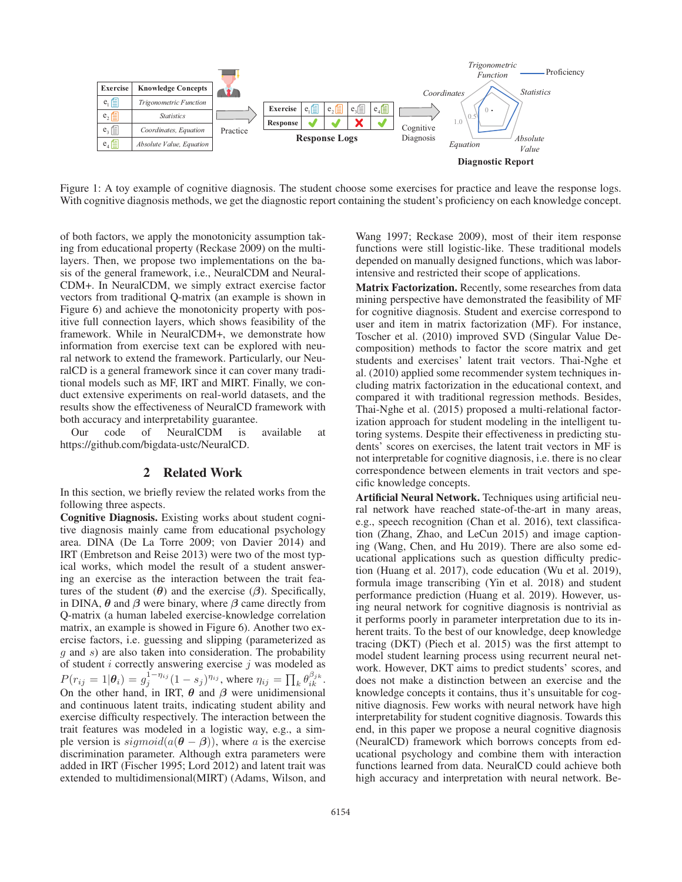

Figure 1: A toy example of cognitive diagnosis. The student choose some exercises for practice and leave the response logs. With cognitive diagnosis methods, we get the diagnostic report containing the student's proficiency on each knowledge concept.

of both factors, we apply the monotonicity assumption taking from educational property (Reckase 2009) on the multilayers. Then, we propose two implementations on the basis of the general framework, i.e., NeuralCDM and Neural-CDM+. In NeuralCDM, we simply extract exercise factor vectors from traditional Q-matrix (an example is shown in Figure 6) and achieve the monotonicity property with positive full connection layers, which shows feasibility of the framework. While in NeuralCDM+, we demonstrate how information from exercise text can be explored with neural network to extend the framework. Particularly, our NeuralCD is a general framework since it can cover many traditional models such as MF, IRT and MIRT. Finally, we conduct extensive experiments on real-world datasets, and the results show the effectiveness of NeuralCD framework with both accuracy and interpretability guarantee.

Our code of NeuralCDM is available at https://github.com/bigdata-ustc/NeuralCD.

## 2 Related Work

In this section, we briefly review the related works from the following three aspects.

Cognitive Diagnosis. Existing works about student cognitive diagnosis mainly came from educational psychology area. DINA (De La Torre 2009; von Davier 2014) and IRT (Embretson and Reise 2013) were two of the most typical works, which model the result of a student answering an exercise as the interaction between the trait features of the student  $(\theta)$  and the exercise  $(\beta)$ . Specifically, in DINA,  $\theta$  and  $\beta$  were binary, where  $\beta$  came directly from Q-matrix (a human labeled exercise-knowledge correlation matrix, an example is showed in Figure 6). Another two exercise factors, i.e. guessing and slipping (parameterized as g and s) are also taken into consideration. The probability of student  $i$  correctly answering exercise  $j$  was modeled as  $P(r_{ij} = 1|\theta_i) = g_j^{1-\eta_{ij}}(1-s_j)^{\eta_{ij}}$ , where  $\eta_{ij} = \prod_k \theta_{ik}^{\beta_{jk}}$ . On the other hand, in IRT, *θ* and *β* were unidimensional and continuous latent traits, indicating student ability and exercise difficulty respectively. The interaction between the trait features was modeled in a logistic way, e.g., a simple version is  $sigmoid(a(\theta - \beta))$ , where a is the exercise discrimination parameter. Although extra parameters were added in IRT (Fischer 1995; Lord 2012) and latent trait was extended to multidimensional(MIRT) (Adams, Wilson, and

Wang 1997; Reckase 2009), most of their item response functions were still logistic-like. These traditional models depended on manually designed functions, which was laborintensive and restricted their scope of applications.

Matrix Factorization. Recently, some researches from data mining perspective have demonstrated the feasibility of MF for cognitive diagnosis. Student and exercise correspond to user and item in matrix factorization (MF). For instance, Toscher et al. (2010) improved SVD (Singular Value Decomposition) methods to factor the score matrix and get students and exercises' latent trait vectors. Thai-Nghe et al. (2010) applied some recommender system techniques including matrix factorization in the educational context, and compared it with traditional regression methods. Besides, Thai-Nghe et al. (2015) proposed a multi-relational factorization approach for student modeling in the intelligent tutoring systems. Despite their effectiveness in predicting students' scores on exercises, the latent trait vectors in MF is not interpretable for cognitive diagnosis, i.e. there is no clear correspondence between elements in trait vectors and specific knowledge concepts.

Artificial Neural Network. Techniques using artificial neural network have reached state-of-the-art in many areas, e.g., speech recognition (Chan et al. 2016), text classification (Zhang, Zhao, and LeCun 2015) and image captioning (Wang, Chen, and Hu 2019). There are also some educational applications such as question difficulty prediction (Huang et al. 2017), code education (Wu et al. 2019), formula image transcribing (Yin et al. 2018) and student performance prediction (Huang et al. 2019). However, using neural network for cognitive diagnosis is nontrivial as it performs poorly in parameter interpretation due to its inherent traits. To the best of our knowledge, deep knowledge tracing (DKT) (Piech et al. 2015) was the first attempt to model student learning process using recurrent neural network. However, DKT aims to predict students' scores, and does not make a distinction between an exercise and the knowledge concepts it contains, thus it's unsuitable for cognitive diagnosis. Few works with neural network have high interpretability for student cognitive diagnosis. Towards this end, in this paper we propose a neural cognitive diagnosis (NeuralCD) framework which borrows concepts from educational psychology and combine them with interaction functions learned from data. NeuralCD could achieve both high accuracy and interpretation with neural network. Be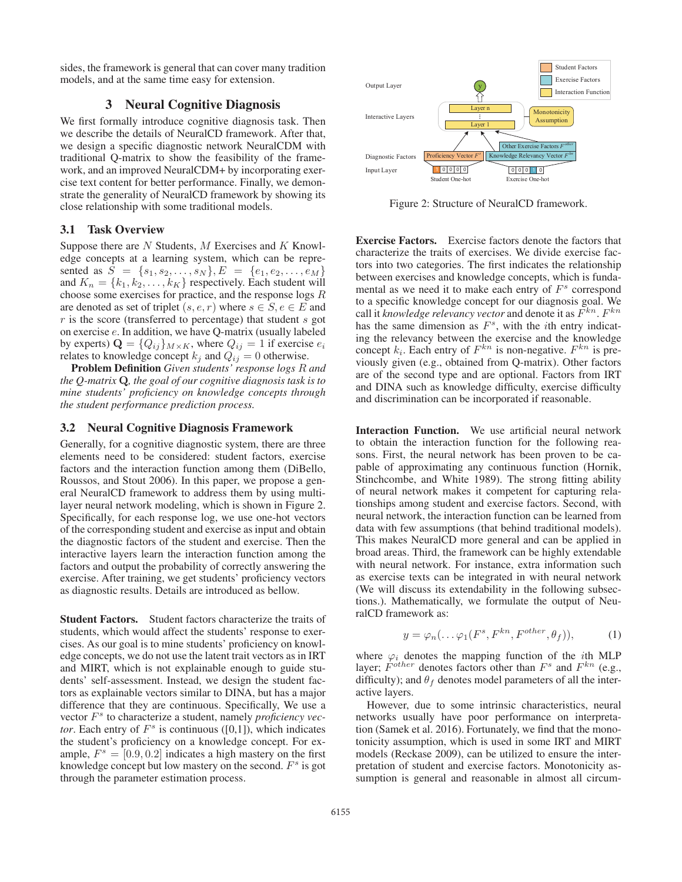sides, the framework is general that can cover many tradition models, and at the same time easy for extension.

# 3 Neural Cognitive Diagnosis

We first formally introduce cognitive diagnosis task. Then we describe the details of NeuralCD framework. After that, we design a specific diagnostic network NeuralCDM with traditional Q-matrix to show the feasibility of the framework, and an improved NeuralCDM+ by incorporating exercise text content for better performance. Finally, we demonstrate the generality of NeuralCD framework by showing its close relationship with some traditional models.

# 3.1 Task Overview

Suppose there are  $N$  Students,  $M$  Exercises and  $K$  Knowledge concepts at a learning system, which can be represented as  $S = \{s_1, s_2, \ldots, s_N\}, E = \{e_1, e_2, \ldots, e_M\}$ and  $K_n = \{k_1, k_2, \ldots, k_K\}$  respectively. Each student will choose some exercises for practice, and the response logs R are denoted as set of triplet  $(s, e, r)$  where  $s \in S, e \in E$  and  $r$  is the score (transferred to percentage) that student  $s$  got on exercise e. In addition, we have Q-matrix (usually labeled by experts)  $\mathbf{Q} = \{Q_{ij}\}_{M \times K}$ , where  $Q_{ij} = 1$  if exercise  $e_i$ relates to knowledge concept  $k_j$  and  $Q_{ij} = 0$  otherwise.

Problem Definition *Given students' response logs* R *and the Q-matrix* **Q***, the goal of our cognitive diagnosis task is to mine students' proficiency on knowledge concepts through the student performance prediction process.*

#### 3.2 Neural Cognitive Diagnosis Framework

Generally, for a cognitive diagnostic system, there are three elements need to be considered: student factors, exercise factors and the interaction function among them (DiBello, Roussos, and Stout 2006). In this paper, we propose a general NeuralCD framework to address them by using multilayer neural network modeling, which is shown in Figure 2. Specifically, for each response log, we use one-hot vectors of the corresponding student and exercise as input and obtain the diagnostic factors of the student and exercise. Then the interactive layers learn the interaction function among the factors and output the probability of correctly answering the exercise. After training, we get students' proficiency vectors as diagnostic results. Details are introduced as bellow.

Student Factors. Student factors characterize the traits of students, which would affect the students' response to exercises. As our goal is to mine students' proficiency on knowledge concepts, we do not use the latent trait vectors as in IRT and MIRT, which is not explainable enough to guide students' self-assessment. Instead, we design the student factors as explainable vectors similar to DINA, but has a major difference that they are continuous. Specifically, We use a vector  $F<sup>s</sup>$  to characterize a student, namely *proficiency vector*. Each entry of  $F<sup>s</sup>$  is continuous ([0,1]), which indicates the student's proficiency on a knowledge concept. For example,  $F^s = [0.9, 0.2]$  indicates a high mastery on the first knowledge concept but low mastery on the second.  $F<sup>s</sup>$  is got through the parameter estimation process.



Figure 2: Structure of NeuralCD framework.

Exercise Factors. Exercise factors denote the factors that characterize the traits of exercises. We divide exercise factors into two categories. The first indicates the relationship between exercises and knowledge concepts, which is fundamental as we need it to make each entry of  $F<sup>s</sup>$  correspond to a specific knowledge concept for our diagnosis goal. We call it *knowledge relevancy vector* and denote it as  $F^{kn}$ .  $F^{kn}$ has the same dimension as  $F<sup>s</sup>$ , with the *i*th entry indicating the relevancy between the exercise and the knowledge concept  $k_i$ . Each entry of  $F^{kn}$  is non-negative.  $F^{kn}$  is previously given (e.g., obtained from Q-matrix). Other factors are of the second type and are optional. Factors from IRT and DINA such as knowledge difficulty, exercise difficulty and discrimination can be incorporated if reasonable.

Interaction Function. We use artificial neural network to obtain the interaction function for the following reasons. First, the neural network has been proven to be capable of approximating any continuous function (Hornik, Stinchcombe, and White 1989). The strong fitting ability of neural network makes it competent for capturing relationships among student and exercise factors. Second, with neural network, the interaction function can be learned from data with few assumptions (that behind traditional models). This makes NeuralCD more general and can be applied in broad areas. Third, the framework can be highly extendable with neural network. For instance, extra information such as exercise texts can be integrated in with neural network (We will discuss its extendability in the following subsections.). Mathematically, we formulate the output of NeuralCD framework as:

$$
y = \varphi_n(\dots \varphi_1(F^s, F^{kn}, F^{other}, \theta_f)), \tag{1}
$$

where  $\varphi_i$  denotes the mapping function of the *i*th MLP layer;  $F^{other}$  denotes factors other than  $F^s$  and  $F^{kn}$  (e.g., difficulty); and  $\theta_f$  denotes model parameters of all the interactive layers.

However, due to some intrinsic characteristics, neural networks usually have poor performance on interpretation (Samek et al. 2016). Fortunately, we find that the monotonicity assumption, which is used in some IRT and MIRT models (Reckase 2009), can be utilized to ensure the interpretation of student and exercise factors. Monotonicity assumption is general and reasonable in almost all circum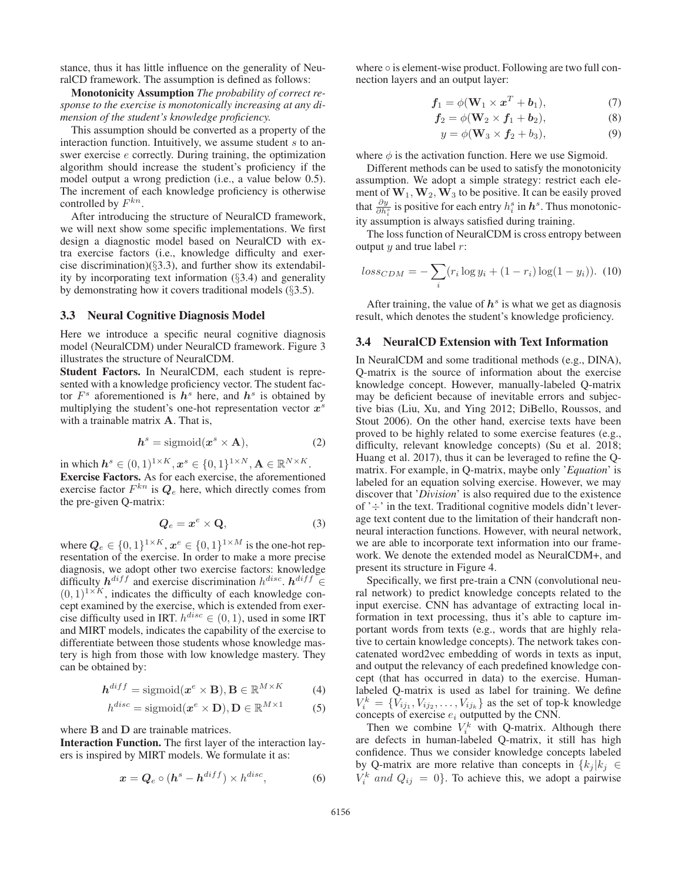stance, thus it has little influence on the generality of NeuralCD framework. The assumption is defined as follows:

Monotonicity Assumption *The probability of correct response to the exercise is monotonically increasing at any dimension of the student's knowledge proficiency.*

This assumption should be converted as a property of the interaction function. Intuitively, we assume student s to answer exercise e correctly. During training, the optimization algorithm should increase the student's proficiency if the model output a wrong prediction (i.e., a value below 0.5). The increment of each knowledge proficiency is otherwise controlled by  $F^{kn}$ .

After introducing the structure of NeuralCD framework, we will next show some specific implementations. We first design a diagnostic model based on NeuralCD with extra exercise factors (i.e., knowledge difficulty and exercise discrimination)(§3.3), and further show its extendability by incorporating text information (§3.4) and generality by demonstrating how it covers traditional models  $(\S 3.5)$ .

#### 3.3 Neural Cognitive Diagnosis Model

Here we introduce a specific neural cognitive diagnosis model (NeuralCDM) under NeuralCD framework. Figure 3 illustrates the structure of NeuralCDM.

Student Factors. In NeuralCDM, each student is represented with a knowledge proficiency vector. The student factor  $F<sup>s</sup>$  aforementioned is  $h<sup>s</sup>$  here, and  $h<sup>s</sup>$  is obtained by multiplying the student's one-hot representation vector *x*<sup>s</sup> with a trainable matrix **A**. That is,

$$
h^s = \text{sigmoid}(x^s \times A), \tag{2}
$$

in which  $h^s \in (0,1)^{1 \times K}$ ,  $x^s \in \{0,1\}^{1 \times N}$ ,  $\mathbf{A} \in \mathbb{R}^{N \times K}$ . Exercise Factors. As for each exercise, the aforementioned exercise factor  $F^{kn}$  is  $\mathbb{Q}_e$  here, which directly comes from the pre-given Q-matrix:

$$
Q_e = x^e \times Q,\tag{3}
$$

where  $\boldsymbol{Q}_e \in \{0,1\}^{1 \times K}$ ,  $\boldsymbol{x}^e \in \{0,1\}^{1 \times M}$  is the one-hot representation of the exercise. In order to make a more precise diagnosis, we adopt other two exercise factors: knowledge difficulty  $h^{diff}$  and exercise discrimination  $h^{disc}$ .  $h^{diff}$  ∈  $(0, 1)^{1 \times K}$ , indicates the difficulty of each knowledge concept examined by the exercise, which is extended from exercise difficulty used in IRT.  $h^{disc} \in (0, 1)$ , used in some IRT and MIRT models, indicates the capability of the exercise to differentiate between those students whose knowledge mastery is high from those with low knowledge mastery. They can be obtained by:

$$
\mathbf{h}^{diff} = \text{sigmoid}(\mathbf{x}^e \times \mathbf{B}), \mathbf{B} \in \mathbb{R}^{M \times K}
$$
 (4)

$$
h^{disc} = \text{sigmoid}(\boldsymbol{x}^e \times \mathbf{D}), \mathbf{D} \in \mathbb{R}^{M \times 1}
$$
 (5)

where **B** and **D** are trainable matrices.

Interaction Function. The first layer of the interaction layers is inspired by MIRT models. We formulate it as:

$$
x = Q_e \circ (h^s - h^{diff}) \times h^{disc}, \tag{6}
$$

where ∘ is element-wise product. Following are two full connection layers and an output layer:

$$
\mathbf{f}_1 = \phi(\mathbf{W}_1 \times \mathbf{x}^T + \mathbf{b}_1),\tag{7}
$$

$$
\mathbf{f}_2 = \phi(\mathbf{W}_2 \times \mathbf{f}_1 + \mathbf{b}_2), \tag{8}
$$

$$
y = \phi(\mathbf{W}_3 \times \mathbf{f}_2 + b_3), \tag{9}
$$

where  $\phi$  is the activation function. Here we use Sigmoid.

Different methods can be used to satisfy the monotonicity assumption. We adopt a simple strategy: restrict each element of  $W_1$ ,  $W_2$ ,  $W_3$  to be positive. It can be easily proved that  $\frac{\partial y}{\partial h_i^s}$  is positive for each entry  $h_i^s$  in  $h^s$ . Thus monotonicity assumption is always satisfied during training.

The loss function of NeuralCDM is cross entropy between output  $y$  and true label  $r$ :

$$
loss_{CDM} = -\sum_{i} (r_i \log y_i + (1 - r_i) \log (1 - y_i)). \tag{10}
$$

After training, the value of  $h<sup>s</sup>$  is what we get as diagnosis result, which denotes the student's knowledge proficiency.

# 3.4 NeuralCD Extension with Text Information

In NeuralCDM and some traditional methods (e.g., DINA), Q-matrix is the source of information about the exercise knowledge concept. However, manually-labeled Q-matrix may be deficient because of inevitable errors and subjective bias (Liu, Xu, and Ying 2012; DiBello, Roussos, and Stout 2006). On the other hand, exercise texts have been proved to be highly related to some exercise features (e.g., difficulty, relevant knowledge concepts) (Su et al. 2018; Huang et al. 2017), thus it can be leveraged to refine the Qmatrix. For example, in Q-matrix, maybe only '*Equation*' is labeled for an equation solving exercise. However, we may discover that '*Division*' is also required due to the existence of  $\div$  in the text. Traditional cognitive models didn't leverage text content due to the limitation of their handcraft nonneural interaction functions. However, with neural network, we are able to incorporate text information into our framework. We denote the extended model as NeuralCDM+, and present its structure in Figure 4.

Specifically, we first pre-train a CNN (convolutional neural network) to predict knowledge concepts related to the input exercise. CNN has advantage of extracting local information in text processing, thus it's able to capture important words from texts (e.g., words that are highly relative to certain knowledge concepts). The network takes concatenated word2vec embedding of words in texts as input, and output the relevancy of each predefined knowledge concept (that has occurred in data) to the exercise. Humanlabeled Q-matrix is used as label for training. We define  $V_i^k = \{V_{ij_1}, V_{ij_2}, \ldots, V_{ij_k}\}\$ as the set of top-k knowledge concepts of exercise  $e_i$  outputted by the CNN.

Then we combine  $V_i^k$  with Q-matrix. Although there are defects in human-labeled Q-matrix, it still has high confidence. Thus we consider knowledge concepts labeled by Q-matrix are more relative than concepts in  ${k_j | k_j \in \mathbb{R}^N}$  $V_i^k$  and  $Q_{ij} = 0$ . To achieve this, we adopt a pairwise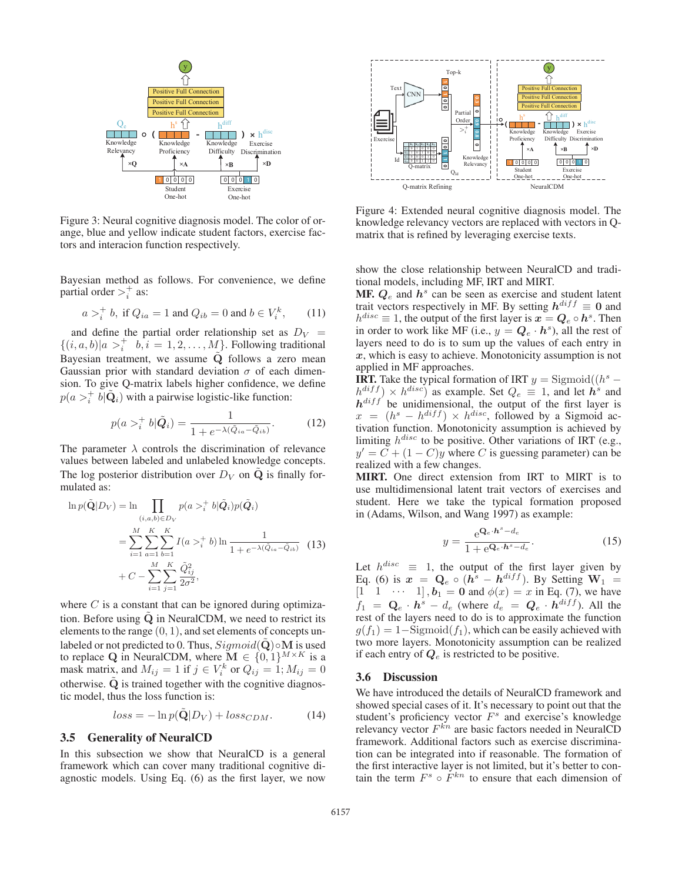

Figure 3: Neural cognitive diagnosis model. The color of orange, blue and yellow indicate student factors, exercise factors and interacion function respectively.

Bayesian method as follows. For convenience, we define partial order  $>^+_i$  as:

$$
a >_i^+
$$
 b, if  $Q_{ia} = 1$  and  $Q_{ib} = 0$  and  $b \in V_i^k$ , (11)

and define the partial order relationship set as  $D_V$  =  $\{(i, a, b)|a >_i^+ b, i = 1, 2, \dots, M\}$ . Following traditional Bayesian treatment, we assume **Q**˜ follows a zero mean Gaussian prior with standard deviation  $\sigma$  of each dimension. To give Q-matrix labels higher confidence, we define  $p(a >_i^+ b | \tilde{Q}_i)$  with a pairwise logistic-like function:

$$
p(a >_i^+ b|\tilde{Q}_i) = \frac{1}{1 + e^{-\lambda(\tilde{Q}_{ia} - \tilde{Q}_{ib})}}.
$$
 (12)

The parameter  $\lambda$  controls the discrimination of relevance values between labeled and unlabeled knowledge concepts. The log posterior distribution over  $D_V$  on  $\dot{Q}$  is finally formulated as:

$$
\ln p(\tilde{\mathbf{Q}}|D_V) = \ln \prod_{(i,a,b)\in D_V} p(a >_i^+ b | \tilde{Q}_i) p(\tilde{Q}_i)
$$
  
= 
$$
\sum_{i=1}^M \sum_{a=1}^K \sum_{b=1}^K I(a >_i^+ b) \ln \frac{1}{1 + e^{-\lambda(\tilde{Q}_{ia} - \tilde{Q}_{ib})}}
$$
(13)  
+ 
$$
C - \sum_{i=1}^M \sum_{j=1}^K \frac{\tilde{Q}_{ij}^2}{2\sigma^2},
$$

where  $C$  is a constant that can be ignored during optimization. Before using  $\tilde{Q}$  in NeuralCDM, we need to restrict its elements to the range  $(0, 1)$ , and set elements of concepts unlabeled or not predicted to 0. Thus,  $Sigmoid(\dot{\mathbf{Q}}) \circ \mathbf{M}$  is used to replace Q in NeuralCDM, where  $\mathbf{M} \in \{0, 1\}^{M \times K}$  is a mask matrix, and  $M_{ij} = 1$  if  $j \in V_i^k$  or  $Q_{ij} = 1; M_{ij} = 0$ otherwise.  $\dot{Q}$  is trained together with the cognitive diagnostic model, thus the loss function is:

$$
loss = -\ln p(\tilde{\mathbf{Q}}|D_V) + loss_{CDM}.\tag{14}
$$

#### 3.5 Generality of NeuralCD

In this subsection we show that NeuralCD is a general framework which can cover many traditional cognitive diagnostic models. Using Eq. (6) as the first layer, we now



Figure 4: Extended neural cognitive diagnosis model. The knowledge relevancy vectors are replaced with vectors in Qmatrix that is refined by leveraging exercise texts.

show the close relationship between NeuralCD and traditional models, including MF, IRT and MIRT.

**MF.**  $Q_e$  and  $h^s$  can be seen as exercise and student latent trait vectors respectively in MF. By setting  $h^{diff} \equiv 0$  and  $h^{disc} \equiv 1$ , the output of the first layer is  $x = Q_e \circ h^s$ . Then in order to work like MF (i.e.,  $y = Q_e \cdot h^s$ ), all the rest of layers need to do is to sum up the values of each entry in *x*, which is easy to achieve. Monotonicity assumption is not applied in MF approaches.

**IRT.** Take the typical formation of IRT  $y =$  Sigmoid $((h^s$  $h^{diff}$   $\times$   $h^{disc}$  as example. Set  $Q_e \equiv 1$ , and let  $\vec{h}^s$  and  $h^{diff}$  be unidimensional, the output of the first layer is  $x = (h<sup>s</sup> - h<sup>diff</sup>) \times h<sup>disc</sup>$ , followed by a Sigmoid activation function. Monotonicity assumption is achieved by limiting  $h^{disc}$  to be positive. Other variations of IRT (e.g.,  $y' = \tilde{C} + (1 - C)y$  where C is guessing parameter) can be realized with a few changes.

MIRT. One direct extension from IRT to MIRT is to use multidimensional latent trait vectors of exercises and student. Here we take the typical formation proposed in (Adams, Wilson, and Wang 1997) as example:

$$
y = \frac{e^{\mathbf{Q}_e \cdot \mathbf{h}^s - d_e}}{1 + e^{\mathbf{Q}_e \cdot \mathbf{h}^s - d_e}}.
$$
 (15)

Let  $h^{disc} \equiv 1$ , the output of the first layer given by Eq. (6) is  $x = Q_e \circ (h^s - h^{diff})$ . By Setting  $W_1$  $[1 \ 1 \ \cdots \ 1], b_1 = 0$  and  $\phi(x) = x$  in Eq. (7), we have  $f_1 = \mathbf{Q}_e \cdot \mathbf{h}^s - d_e$  (where  $d_e = \mathbf{Q}_e \cdot \mathbf{h}^{diff}$ ). All the rest of the layers need to do is to approximate the function  $g(f_1)=1-\text{Sigmoid}(f_1)$ , which can be easily achieved with two more layers. Monotonicity assumption can be realized if each entry of  $Q_e$  is restricted to be positive.

### 3.6 Discussion

We have introduced the details of NeuralCD framework and showed special cases of it. It's necessary to point out that the student's proficiency vector  $F<sup>s</sup>$  and exercise's knowledge relevancy vector  $F^{kn}$  are basic factors needed in NeuralCD framework. Additional factors such as exercise discrimination can be integrated into if reasonable. The formation of the first interactive layer is not limited, but it's better to contain the term  $F^s \circ \dot{F}^{kn}$  to ensure that each dimension of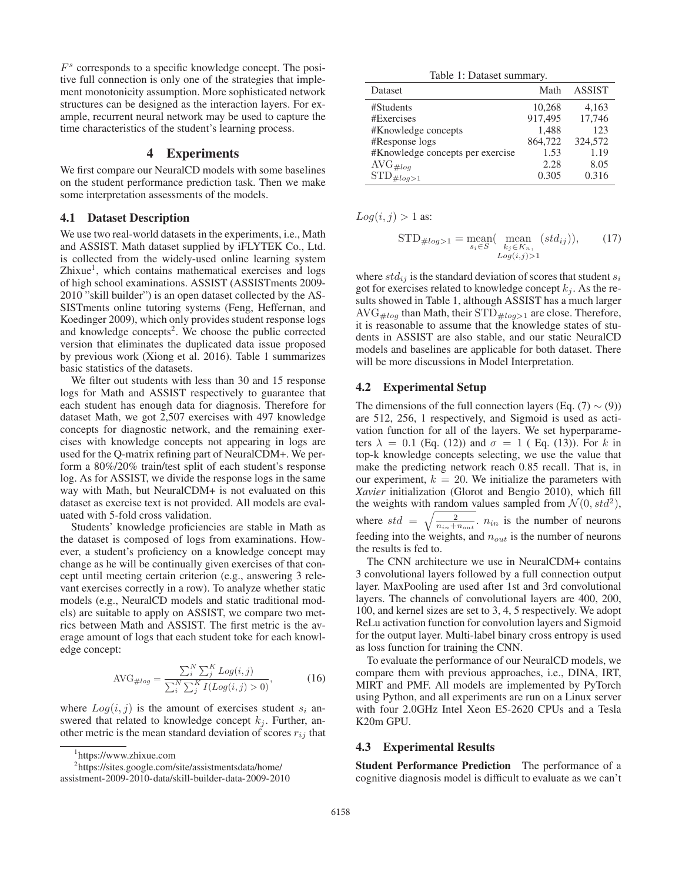$F<sup>s</sup>$  corresponds to a specific knowledge concept. The positive full connection is only one of the strategies that implement monotonicity assumption. More sophisticated network structures can be designed as the interaction layers. For example, recurrent neural network may be used to capture the time characteristics of the student's learning process.

# 4 Experiments

We first compare our NeuralCD models with some baselines on the student performance prediction task. Then we make some interpretation assessments of the models.

#### 4.1 Dataset Description

We use two real-world datasets in the experiments, i.e., Math and ASSIST. Math dataset supplied by iFLYTEK Co., Ltd. is collected from the widely-used online learning system  $Zhi$ xue<sup>1</sup>, which contains mathematical exercises and logs of high school examinations. ASSIST (ASSISTments 2009- 2010 "skill builder") is an open dataset collected by the AS-SISTments online tutoring systems (Feng, Heffernan, and Koedinger 2009), which only provides student response logs and knowledge concepts<sup>2</sup>. We choose the public corrected version that eliminates the duplicated data issue proposed by previous work (Xiong et al. 2016). Table 1 summarizes basic statistics of the datasets.

We filter out students with less than 30 and 15 response logs for Math and ASSIST respectively to guarantee that each student has enough data for diagnosis. Therefore for dataset Math, we got 2,507 exercises with 497 knowledge concepts for diagnostic network, and the remaining exercises with knowledge concepts not appearing in logs are used for the Q-matrix refining part of NeuralCDM+. We perform a 80%/20% train/test split of each student's response log. As for ASSIST, we divide the response logs in the same way with Math, but NeuralCDM+ is not evaluated on this dataset as exercise text is not provided. All models are evaluated with 5-fold cross validation.

Students' knowledge proficiencies are stable in Math as the dataset is composed of logs from examinations. However, a student's proficiency on a knowledge concept may change as he will be continually given exercises of that concept until meeting certain criterion (e.g., answering 3 relevant exercises correctly in a row). To analyze whether static models (e.g., NeuralCD models and static traditional models) are suitable to apply on ASSIST, we compare two metrics between Math and ASSIST. The first metric is the average amount of logs that each student toke for each knowledge concept:

$$
\text{AVG}_{\#log} = \frac{\sum_{i}^{N} \sum_{j}^{K} Log(i, j)}{\sum_{i}^{N} \sum_{j}^{K} I(Log(i, j) > 0)},\tag{16}
$$

where  $Log(i, j)$  is the amount of exercises student  $s_i$  answered that related to knowledge concept  $k_j$ . Further, another metric is the mean standard deviation of scores  $r_{ij}$  that

1 https://www.zhixue.com

2 https://sites.google.com/site/assistmentsdata/home/

Table 1: Dataset summary.

| <b>Dataset</b>                   | Math    | <b>ASSIST</b> |
|----------------------------------|---------|---------------|
| #Students                        | 10,268  | 4,163         |
| #Exercises                       | 917,495 | 17,746        |
| #Knowledge concepts              | 1,488   | 123           |
| #Response logs                   | 864,722 | 324,572       |
| #Knowledge concepts per exercise | 1.53    | 1.19          |
| $AVG_{\#loq}$                    | 2.28    | 8.05          |
| $STD_{\#log>1}$                  | 0.305   | 0.316         |

 $Log(i, j) > 1$  as:

$$
\text{STD}_{\#log>1} = \underset{s_i \in S}{\text{mean}} (\underset{k_j \in K_n, \ Log(i,j)>1}{\text{mean}} (std_{ij})), \tag{17}
$$

where  $std_{ij}$  is the standard deviation of scores that student  $s_i$ got for exercises related to knowledge concept  $k_i$ . As the results showed in Table 1, although ASSIST has a much larger  $AVG_{\#log}$  than Math, their  $STD_{\#log>1}$  are close. Therefore, it is reasonable to assume that the knowledge states of students in ASSIST are also stable, and our static NeuralCD models and baselines are applicable for both dataset. There will be more discussions in Model Interpretation.

#### 4.2 Experimental Setup

The dimensions of the full connection layers (Eq. (7)  $\sim$  (9)) are 512, 256, 1 respectively, and Sigmoid is used as activation function for all of the layers. We set hyperparameters  $\lambda = 0.1$  (Eq. (12)) and  $\sigma = 1$  (Eq. (13)). For k in top-k knowledge concepts selecting, we use the value that make the predicting network reach 0.85 recall. That is, in our experiment,  $k = 20$ . We initialize the parameters with *Xavier* initialization (Glorot and Bengio 2010), which fill the weights with random values sampled from  $\mathcal{N}(0, std^2)$ ,

where  $std = \sqrt{\frac{2}{n_{in}+n_{out}}}$ ,  $n_{in}$  is the number of neurons feeding into the weights, and  $n_{out}$  is the number of neurons the results is fed to.

The CNN architecture we use in NeuralCDM+ contains 3 convolutional layers followed by a full connection output layer. MaxPooling are used after 1st and 3rd convolutional layers. The channels of convolutional layers are 400, 200, 100, and kernel sizes are set to 3, 4, 5 respectively. We adopt ReLu activation function for convolution layers and Sigmoid for the output layer. Multi-label binary cross entropy is used as loss function for training the CNN.

To evaluate the performance of our NeuralCD models, we compare them with previous approaches, i.e., DINA, IRT, MIRT and PMF. All models are implemented by PyTorch using Python, and all experiments are run on a Linux server with four 2.0GHz Intel Xeon E5-2620 CPUs and a Tesla K20m GPU.

## 4.3 Experimental Results

Student Performance Prediction The performance of a cognitive diagnosis model is difficult to evaluate as we can't

assistment-2009-2010-data/skill-builder-data-2009-2010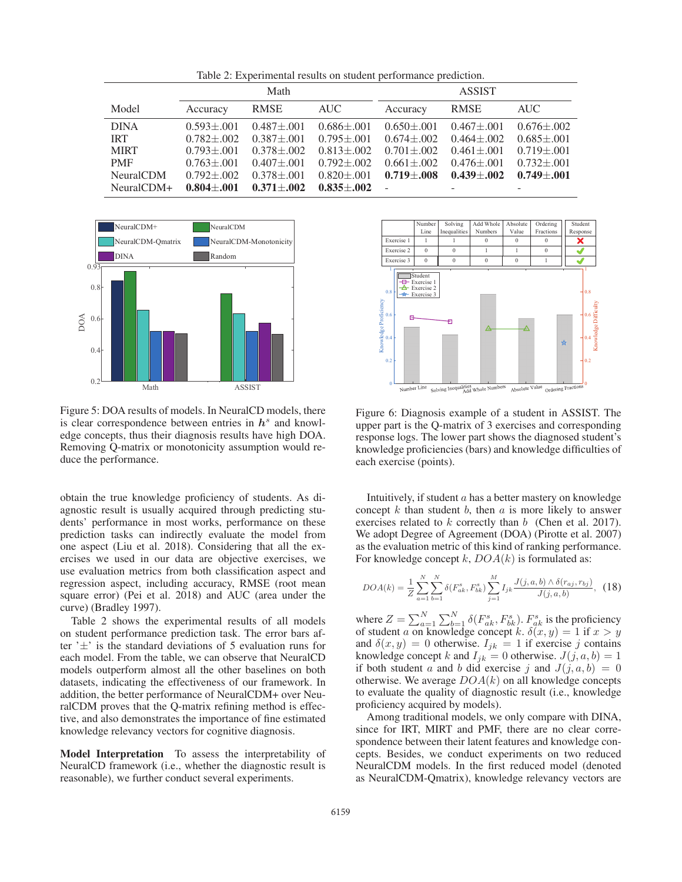Table 2: Experimental results on student performance prediction.

|                  | Math             |                   |                   | <b>ASSIST</b>     |                   |                   |
|------------------|------------------|-------------------|-------------------|-------------------|-------------------|-------------------|
| Model            | Accuracy         | RMSE              | AUC               | Accuracy          | <b>RMSE</b>       | <b>AUC</b>        |
| <b>DINA</b>      | $0.593 \pm 0.01$ | $0.487 \pm 0.01$  | $0.686 \pm 0.01$  | $0.650 \pm 0.001$ | $0.467 \pm 0.01$  | $0.676 \pm 0.002$ |
| <b>IRT</b>       | $0.782 + 0.002$  | $0.387 \pm 0.01$  | $0.795 \pm 0.001$ | $0.674 \pm 0.002$ | $0.464 \pm 0.002$ | $0.685 \pm 0.001$ |
| <b>MIRT</b>      | $0.793 + 0.01$   | $0.378 + 0.002$   | $0.813 + 0.002$   | $0.701 \pm 0.002$ | $0.461 \pm 0.01$  | $0.719 \pm 0.001$ |
| <b>PMF</b>       | $0.763 \pm 0.01$ | $0.407 \pm 0.01$  | $0.792 \pm 0.002$ | $0.661 \pm 0.002$ | $0.476 \pm 0.01$  | $0.732 + 0.01$    |
| <b>NeuralCDM</b> | $0.792 + 0.02$   | $0.378 + 0.01$    | $0.820 + 0.01$    | $0.719 + 0.08$    | $0.439 + 0.002$   | $0.749 + 0.01$    |
| NeuralCDM+       | $0.804 \pm 0.01$ | $0.371 \pm 0.002$ | $0.835 + 0.002$   |                   |                   |                   |



Figure 5: DOA results of models. In NeuralCD models, there is clear correspondence between entries in  $h<sup>s</sup>$  and knowledge concepts, thus their diagnosis results have high DOA. Removing Q-matrix or monotonicity assumption would reduce the performance.

obtain the true knowledge proficiency of students. As diagnostic result is usually acquired through predicting students' performance in most works, performance on these prediction tasks can indirectly evaluate the model from one aspect (Liu et al. 2018). Considering that all the exercises we used in our data are objective exercises, we use evaluation metrics from both classification aspect and regression aspect, including accuracy, RMSE (root mean square error) (Pei et al. 2018) and AUC (area under the curve) (Bradley 1997).

Table 2 shows the experimental results of all models on student performance prediction task. The error bars after  $\pm$  is the standard deviations of 5 evaluation runs for each model. From the table, we can observe that NeuralCD models outperform almost all the other baselines on both datasets, indicating the effectiveness of our framework. In addition, the better performance of NeuralCDM+ over NeuralCDM proves that the Q-matrix refining method is effective, and also demonstrates the importance of fine estimated knowledge relevancy vectors for cognitive diagnosis.

Model Interpretation To assess the interpretability of NeuralCD framework (i.e., whether the diagnostic result is reasonable), we further conduct several experiments.



Figure 6: Diagnosis example of a student in ASSIST. The upper part is the Q-matrix of 3 exercises and corresponding response logs. The lower part shows the diagnosed student's knowledge proficiencies (bars) and knowledge difficulties of each exercise (points).

Intuitively, if student  $a$  has a better mastery on knowledge concept  $k$  than student  $b$ , then  $a$  is more likely to answer exercises related to  $k$  correctly than  $b$  (Chen et al. 2017). We adopt Degree of Agreement (DOA) (Pirotte et al. 2007) as the evaluation metric of this kind of ranking performance. For knowledge concept k,  $DOA(k)$  is formulated as:

$$
DOA(k) = \frac{1}{Z} \sum_{a=1}^{N} \sum_{b=1}^{N} \delta(F_{ak}^s, F_{bk}^s) \sum_{j=1}^{M} I_{jk} \frac{J(j, a, b) \wedge \delta(r_{aj}, r_{bj})}{J(j, a, b)}, \quad (18)
$$

where  $Z = \sum_{a=1}^{N} \sum_{b=1}^{N} \delta(F_{ak}^s, F_{bk}^s)$ .  $F_{ak}^s$  is the proficiency of student a on knowledge concept k.  $\delta(x, y)=1$  if  $x>y$ and  $\delta(x, y) = 0$  otherwise.  $I_{jk} = 1$  if exercise j contains knowledge concept k and  $I_{jk} = 0$  otherwise.  $J(j, a, b) = 1$ if both student a and b did exercise j and  $J(j, a, b)=0$ otherwise. We average  $DOA(k)$  on all knowledge concepts to evaluate the quality of diagnostic result (i.e., knowledge proficiency acquired by models).

Among traditional models, we only compare with DINA, since for IRT, MIRT and PMF, there are no clear correspondence between their latent features and knowledge concepts. Besides, we conduct experiments on two reduced NeuralCDM models. In the first reduced model (denoted as NeuralCDM-Qmatrix), knowledge relevancy vectors are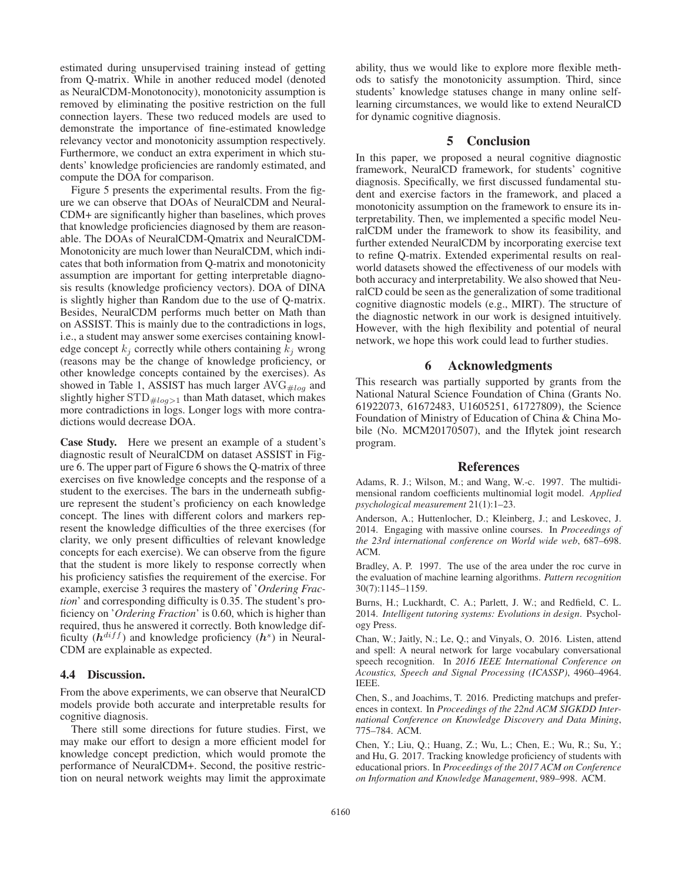estimated during unsupervised training instead of getting from Q-matrix. While in another reduced model (denoted as NeuralCDM-Monotonocity), monotonicity assumption is removed by eliminating the positive restriction on the full connection layers. These two reduced models are used to demonstrate the importance of fine-estimated knowledge relevancy vector and monotonicity assumption respectively. Furthermore, we conduct an extra experiment in which students' knowledge proficiencies are randomly estimated, and compute the DOA for comparison.

Figure 5 presents the experimental results. From the figure we can observe that DOAs of NeuralCDM and Neural-CDM+ are significantly higher than baselines, which proves that knowledge proficiencies diagnosed by them are reasonable. The DOAs of NeuralCDM-Qmatrix and NeuralCDM-Monotonicity are much lower than NeuralCDM, which indicates that both information from Q-matrix and monotonicity assumption are important for getting interpretable diagnosis results (knowledge proficiency vectors). DOA of DINA is slightly higher than Random due to the use of Q-matrix. Besides, NeuralCDM performs much better on Math than on ASSIST. This is mainly due to the contradictions in logs, i.e., a student may answer some exercises containing knowledge concept  $k_i$  correctly while others containing  $k_i$  wrong (reasons may be the change of knowledge proficiency, or other knowledge concepts contained by the exercises). As showed in Table 1, ASSIST has much larger  $AVG_{\#log}$  and slightly higher  $\text{STD}_{\#log>1}$  than Math dataset, which makes more contradictions in logs. Longer logs with more contradictions would decrease DOA.

Case Study. Here we present an example of a student's diagnostic result of NeuralCDM on dataset ASSIST in Figure 6. The upper part of Figure 6 shows the Q-matrix of three exercises on five knowledge concepts and the response of a student to the exercises. The bars in the underneath subfigure represent the student's proficiency on each knowledge concept. The lines with different colors and markers represent the knowledge difficulties of the three exercises (for clarity, we only present difficulties of relevant knowledge concepts for each exercise). We can observe from the figure that the student is more likely to response correctly when his proficiency satisfies the requirement of the exercise. For example, exercise 3 requires the mastery of '*Ordering Fraction*' and corresponding difficulty is 0.35. The student's proficiency on '*Ordering Fraction*' is 0.60, which is higher than required, thus he answered it correctly. Both knowledge difficulty  $(h^{diff})$  and knowledge proficiency  $(h^s)$  in Neural-CDM are explainable as expected.

#### 4.4 Discussion.

From the above experiments, we can observe that NeuralCD models provide both accurate and interpretable results for cognitive diagnosis.

There still some directions for future studies. First, we may make our effort to design a more efficient model for knowledge concept prediction, which would promote the performance of NeuralCDM+. Second, the positive restriction on neural network weights may limit the approximate

ability, thus we would like to explore more flexible methods to satisfy the monotonicity assumption. Third, since students' knowledge statuses change in many online selflearning circumstances, we would like to extend NeuralCD for dynamic cognitive diagnosis.

# 5 Conclusion

In this paper, we proposed a neural cognitive diagnostic framework, NeuralCD framework, for students' cognitive diagnosis. Specifically, we first discussed fundamental student and exercise factors in the framework, and placed a monotonicity assumption on the framework to ensure its interpretability. Then, we implemented a specific model NeuralCDM under the framework to show its feasibility, and further extended NeuralCDM by incorporating exercise text to refine Q-matrix. Extended experimental results on realworld datasets showed the effectiveness of our models with both accuracy and interpretability. We also showed that NeuralCD could be seen as the generalization of some traditional cognitive diagnostic models (e.g., MIRT). The structure of the diagnostic network in our work is designed intuitively. However, with the high flexibility and potential of neural network, we hope this work could lead to further studies.

# 6 Acknowledgments

This research was partially supported by grants from the National Natural Science Foundation of China (Grants No. 61922073, 61672483, U1605251, 61727809), the Science Foundation of Ministry of Education of China & China Mobile (No. MCM20170507), and the Iflytek joint research program.

#### References

Adams, R. J.; Wilson, M.; and Wang, W.-c. 1997. The multidimensional random coefficients multinomial logit model. *Applied psychological measurement* 21(1):1–23.

Anderson, A.; Huttenlocher, D.; Kleinberg, J.; and Leskovec, J. 2014. Engaging with massive online courses. In *Proceedings of the 23rd international conference on World wide web*, 687–698. ACM.

Bradley, A. P. 1997. The use of the area under the roc curve in the evaluation of machine learning algorithms. *Pattern recognition* 30(7):1145–1159.

Burns, H.; Luckhardt, C. A.; Parlett, J. W.; and Redfield, C. L. 2014. *Intelligent tutoring systems: Evolutions in design*. Psychology Press.

Chan, W.; Jaitly, N.; Le, Q.; and Vinyals, O. 2016. Listen, attend and spell: A neural network for large vocabulary conversational speech recognition. In *2016 IEEE International Conference on Acoustics, Speech and Signal Processing (ICASSP)*, 4960–4964. IEEE.

Chen, S., and Joachims, T. 2016. Predicting matchups and preferences in context. In *Proceedings of the 22nd ACM SIGKDD International Conference on Knowledge Discovery and Data Mining*, 775–784. ACM.

Chen, Y.; Liu, Q.; Huang, Z.; Wu, L.; Chen, E.; Wu, R.; Su, Y.; and Hu, G. 2017. Tracking knowledge proficiency of students with educational priors. In *Proceedings of the 2017 ACM on Conference on Information and Knowledge Management*, 989–998. ACM.